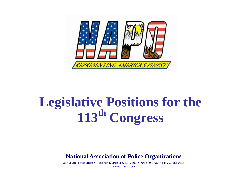

## **Legislative Positions for the 113th Congress**

**National Association of Police Organizations**

317 South Patrick Street • Alexandria, Virginia 22314-3501 • 703-549-0775 • Fax 703-684-0515

[www.napo.org](http://www.napo.org/)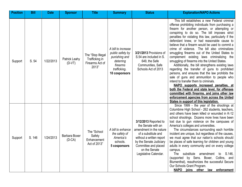| <b>Position</b> | <b>Bill</b> | <b>Date</b> | <b>Sponsor</b>            | <b>Title</b>                                                    | <b>Summary</b>                                                                                                    | <b>Status</b>                                                                                                                                                                                                          | <b>Explanation/NAPO Actions</b>                                                                                                                                                                                                                                                                                                                                                                                                                                                                                                                                                                                                                                                                                                                                                                                                                                                                                                                                                                                                                 |
|-----------------|-------------|-------------|---------------------------|-----------------------------------------------------------------|-------------------------------------------------------------------------------------------------------------------|------------------------------------------------------------------------------------------------------------------------------------------------------------------------------------------------------------------------|-------------------------------------------------------------------------------------------------------------------------------------------------------------------------------------------------------------------------------------------------------------------------------------------------------------------------------------------------------------------------------------------------------------------------------------------------------------------------------------------------------------------------------------------------------------------------------------------------------------------------------------------------------------------------------------------------------------------------------------------------------------------------------------------------------------------------------------------------------------------------------------------------------------------------------------------------------------------------------------------------------------------------------------------------|
| Support         | S. 54       | 1/22/2013   | Patrick Leahy<br>$(D-VT)$ | The "Stop Illegal<br>Trafficking in<br>Firearms Act of<br>2013" | A bill to increase<br>public safety by<br>punishing and<br>deterring<br>firearms<br>trafficking.<br>10 cosponsors | 3/21/2013 Provisions of<br>S.54 are included in S.<br>649, the Safe<br>Communities, Safe<br>Schools Act of 2013                                                                                                        | This bill establishes a new Federal criminal<br>offense prohibiting individuals from purchasing a<br>firearm for another person, or attempting or<br>conspiring to do so. The bill imposes strict<br>penalties for violating this law, particularly if the<br>defendant knew, or had reasonable cause to<br>believe that a firearm would be used to commit a<br>crime of violence. The bill also criminalizes<br>smuggling firearms out of the United States to<br>complement existing laws criminalizing the<br>smuggling of firearms into the United States.<br>Additionally, the bill strengthens existing laws<br>regarding the transfer of guns to prohibited<br>persons, and ensures that the law prohibits the<br>sale of guns and ammunition to people who<br>intend to transfer them to criminals.<br>NAPO supports increased penalties, at<br>both the Federal and state level, for offenses<br>committed with firearms, and joins other law<br>enforcement agencies from across the United<br>States in support of this legislation. |
| Support         | S. 146      | 1/24/2013   | Barbara Boxer<br>$(D-CA)$ | The "School<br>Safety<br>Enhancement<br>Act of 2013"            | A bill to enhance<br>the safety of<br>America's<br>schools.<br>5 cosponsors                                       | 3/12/2013 Reported to<br>the Senate with an<br>amendment in the nature<br>of a substitute and<br>without a written report<br>by the Senate Judiciary<br>Committee and placed<br>on the Senate<br>Legislative Calendar. | Since 1999 - the year of the shootings at<br>Columbine High School - 262 students, teachers,<br>and others have been killed or wounded in K-12<br>school shootings. Dozens more lives have been<br>lost due to gun violence on the campuses of<br>America's colleges and universities.<br>The circumstances surrounding each horrible<br>incident are unique, but regardless of the causes,<br>we must agree that our nation's schools should<br>be places of safe learning for children and young<br>adults in every community and on every college<br>campus.<br>The substitute amendment to S.146,<br>(supported by Sens. Boxer, Collins, and<br>Blumenthal), reauthorizes the successful Secure<br>Our Schools Grant Program.<br>enforcement<br><b>NAPO</b><br>joins other law                                                                                                                                                                                                                                                              |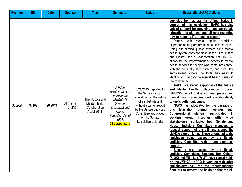| <b>Position</b> | <b>Bill</b> | <b>Date</b> | <b>Sponsor</b>         | <b>Title</b>                                                       | <b>Summary</b>                                                                                                                                                       | <b>Status</b>                                                                                                                                                                                                         | <b>Explanation/NAPO Actions</b>                                                                                                                                                                                                                                                                                                                                                                                                                                                                                                                                                                                                                                                                                                                                                                                                                                                                                                                                                                                                                                                                                                                                                                                                                                                                                                                                                                                                |
|-----------------|-------------|-------------|------------------------|--------------------------------------------------------------------|----------------------------------------------------------------------------------------------------------------------------------------------------------------------|-----------------------------------------------------------------------------------------------------------------------------------------------------------------------------------------------------------------------|--------------------------------------------------------------------------------------------------------------------------------------------------------------------------------------------------------------------------------------------------------------------------------------------------------------------------------------------------------------------------------------------------------------------------------------------------------------------------------------------------------------------------------------------------------------------------------------------------------------------------------------------------------------------------------------------------------------------------------------------------------------------------------------------------------------------------------------------------------------------------------------------------------------------------------------------------------------------------------------------------------------------------------------------------------------------------------------------------------------------------------------------------------------------------------------------------------------------------------------------------------------------------------------------------------------------------------------------------------------------------------------------------------------------------------|
|                 |             |             |                        |                                                                    |                                                                                                                                                                      |                                                                                                                                                                                                                       | agencies from across the United States in<br>support of this legislation. NAPO has also<br>voiced support for providing age-appropriate<br>education for students and citizens regarding<br>how to respond if a shooting occurs.<br>conditions<br>with mental<br>health<br>People<br>disproportionately are arrested and incarcerated.                                                                                                                                                                                                                                                                                                                                                                                                                                                                                                                                                                                                                                                                                                                                                                                                                                                                                                                                                                                                                                                                                         |
| Support         | S. 162      | 1/28/2013   | Al Franken<br>$(D-MN)$ | The "Justice and<br>Mental Health<br>Collaboration<br>Act of 2013" | A bill to<br>reauthorize and<br><i>improve</i> the<br>Mentally III<br><b>Offender</b><br>Treatment and<br>Crime<br><b>Reduction Act of</b><br>2004.<br>33 cosponsors | 6/20/2013 Reported to<br>the Senate with an<br>amendment in the nature<br>of a substitute and<br>without a written report<br>by the Senate Judiciary<br>Committee and placed<br>on the Senate<br>Legislative Calendar | Using our criminal justice system as a mental<br>health system does not make sense. The Justice<br>and Mental Health Collaboration Act (JMHCA)<br>allows for the improvement of access to mental<br>health services for people who come into contact<br>with the criminal justice system, and gives law<br>enforcement officers the tools they need to<br>identify and respond to mental health issues in<br>the community.<br>NAPO is a strong supporter of the Justice<br>and Mental Health Collaboration Program<br>(JMHCP), which helps criminal justice and<br>mental health agencies work collaboratively<br>towards better outcomes.<br>NAPO has advocated for the passage of<br>legislation<br>during<br>meetings<br>this<br><u>with</u><br>staffers,<br><b>Congressional</b><br>participated<br>in<br>working<br>with<br>fellow<br>meetings<br>group<br>stakeholders, contacted both Senate and<br>House Judiciary Committee members to<br>request support of the bill, and signed the<br>JMHCA sign-on letter. These efforts led to the<br>legislation being passed by the Senate<br>Judiciary Committee with strong bipartisan<br>support.<br>Since it was passed by the Senate<br>Judiciary Committee, Senators Tom Coburn<br>(R-OK) and Mike Lee (R-UT) have placed holds<br>on the JMHCA. NAPO is working with other<br>stakeholders to urge the aforementioned<br>Senators to remove the holds so that the bill |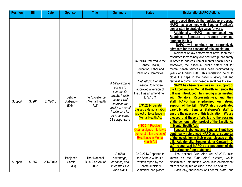| <b>Position</b> | <b>Bill</b> | <b>Date</b> | <b>Sponsor</b>                 | <b>Title</b>                                | <b>Summary</b>                                                                                                                                                       | <b>Status</b>                                                                                                                                                                                                                                                                                                                                                                                         | <b>Explanation/NAPO Actions</b>                                                                                                                                                                                                                                                                                                                                                                                                                                                                                                                                                                                                                                                                                                                                                                                                                                                                                                                                                                                                                                                                                                                                                                                                                                                                                                                                    |
|-----------------|-------------|-------------|--------------------------------|---------------------------------------------|----------------------------------------------------------------------------------------------------------------------------------------------------------------------|-------------------------------------------------------------------------------------------------------------------------------------------------------------------------------------------------------------------------------------------------------------------------------------------------------------------------------------------------------------------------------------------------------|--------------------------------------------------------------------------------------------------------------------------------------------------------------------------------------------------------------------------------------------------------------------------------------------------------------------------------------------------------------------------------------------------------------------------------------------------------------------------------------------------------------------------------------------------------------------------------------------------------------------------------------------------------------------------------------------------------------------------------------------------------------------------------------------------------------------------------------------------------------------------------------------------------------------------------------------------------------------------------------------------------------------------------------------------------------------------------------------------------------------------------------------------------------------------------------------------------------------------------------------------------------------------------------------------------------------------------------------------------------------|
| Support         | S. 264      | 2/7/2013    | Debbie<br>Stabenow<br>$(D-MI)$ | The "Excellence<br>in Mental Health<br>Act" | A bill to expand<br>access to<br>community<br>mental health<br>centers and<br>improve the<br>quality of mental<br>health care for<br>all Americans.<br>24 cosponsors | 2/7/2013 Referred to the<br>Senate Health,<br>Education, Labor and<br><b>Pensions Committee</b><br>12/12/2013 Senate<br><b>Finance Committee</b><br>approved a version of<br>the bill as an amendment<br>to S.1871<br>3/31/2014 Senate<br>passed a demonstration<br>project of Excellence in<br><b>Mental Health Act</b><br>4/1/2014 President<br>Obama signed into law a<br>demonstration project of | can proceed through the legislative process.<br>NAPO has also met with Senator Franken's<br>senior staff to strategize ways forward.<br>Additionally, NAPO has contacted key<br>Republican Senators to request they co-<br>sponsor the bill.<br>NAPO will continue to aggressively<br>advocate for the passage of this legislation.<br>Members of law enforcement have seen their<br>resources increasingly diverted from public safety<br>in order to address unmet mental health needs.<br>Moreover, the essential public safety net for<br>mental health services has been decimated by<br>years of funding cuts. This legislation helps to<br>close the gaps in the nation's safety net and<br>reinvest in community-based mental health care.<br>NAPO has been relentless in its support of<br>the Excellence in Mental Health Act since the<br>bill was introduced. In meeting after meeting<br>with Senators, Representatives, and their<br>staff, NAPO has emphasized our strong<br>support of the bill. NAPO also coordinated<br>carefully with Senator Stabenow's staff to<br>ensure the passage of this legislation. We are<br>pleased that these efforts led to the passage<br>of the demonstration project of the Excellence<br>in Mental Health Act.<br><b>Senator Stabenow and Senator Blunt have</b><br>continually referenced NAPO as a supporter |
|                 |             |             |                                |                                             |                                                                                                                                                                      | <b>Excellence in Mental</b><br><b>Health Act</b>                                                                                                                                                                                                                                                                                                                                                      | of the legislation in their press releases on the<br>bill. Additionally, Senator Maria Cantwell (D-<br>WA) recognized NAPO as a supporter of the                                                                                                                                                                                                                                                                                                                                                                                                                                                                                                                                                                                                                                                                                                                                                                                                                                                                                                                                                                                                                                                                                                                                                                                                                   |
|                 |             |             |                                |                                             |                                                                                                                                                                      |                                                                                                                                                                                                                                                                                                                                                                                                       | bill during her floor statement.                                                                                                                                                                                                                                                                                                                                                                                                                                                                                                                                                                                                                                                                                                                                                                                                                                                                                                                                                                                                                                                                                                                                                                                                                                                                                                                                   |
|                 |             |             |                                |                                             | A bill to                                                                                                                                                            | 9/19/2013 Reported to                                                                                                                                                                                                                                                                                                                                                                                 | The National Blue Alert Act of 2013, also                                                                                                                                                                                                                                                                                                                                                                                                                                                                                                                                                                                                                                                                                                                                                                                                                                                                                                                                                                                                                                                                                                                                                                                                                                                                                                                          |
|                 |             |             | Benjamin                       | The "National                               | encourage,                                                                                                                                                           | the Senate without a                                                                                                                                                                                                                                                                                                                                                                                  | known as the "Blue Alert" system, would                                                                                                                                                                                                                                                                                                                                                                                                                                                                                                                                                                                                                                                                                                                                                                                                                                                                                                                                                                                                                                                                                                                                                                                                                                                                                                                            |
| Support         | S. 357      | 2/14/2013   | Cardin                         | <b>Blue Alert Act of</b>                    | enhance, and                                                                                                                                                         | written report by the                                                                                                                                                                                                                                                                                                                                                                                 | disseminate information when law enforcement                                                                                                                                                                                                                                                                                                                                                                                                                                                                                                                                                                                                                                                                                                                                                                                                                                                                                                                                                                                                                                                                                                                                                                                                                                                                                                                       |
|                 |             |             | $(D-MD)$                       | 2013"                                       | integrate Blue                                                                                                                                                       | Senate Judiciary                                                                                                                                                                                                                                                                                                                                                                                      | officers are injured or killed in the line of duty.                                                                                                                                                                                                                                                                                                                                                                                                                                                                                                                                                                                                                                                                                                                                                                                                                                                                                                                                                                                                                                                                                                                                                                                                                                                                                                                |
|                 |             |             |                                |                                             | Alert plans                                                                                                                                                          | Committee and placed                                                                                                                                                                                                                                                                                                                                                                                  | Each day, thousands of Federal, state, and                                                                                                                                                                                                                                                                                                                                                                                                                                                                                                                                                                                                                                                                                                                                                                                                                                                                                                                                                                                                                                                                                                                                                                                                                                                                                                                         |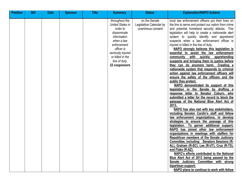| <b>Position</b> | <b>Bill</b> | <b>Date</b> | <b>Sponsor</b> | <b>Title</b> | <b>Summary</b>                                                                                                                                                                                            | <b>Status</b>                                                 | <b>Explanation/NAPO Actions</b>                                                                                                                                                                                                                                                                                                                                                                                                                                                                                                                                                                                                                                                                                                                                                                                                                                                                                                                                                                                                                                                                                                                                                                                                                                                                                                                                                                                                                                                                                                                                                                                                                                                                    |
|-----------------|-------------|-------------|----------------|--------------|-----------------------------------------------------------------------------------------------------------------------------------------------------------------------------------------------------------|---------------------------------------------------------------|----------------------------------------------------------------------------------------------------------------------------------------------------------------------------------------------------------------------------------------------------------------------------------------------------------------------------------------------------------------------------------------------------------------------------------------------------------------------------------------------------------------------------------------------------------------------------------------------------------------------------------------------------------------------------------------------------------------------------------------------------------------------------------------------------------------------------------------------------------------------------------------------------------------------------------------------------------------------------------------------------------------------------------------------------------------------------------------------------------------------------------------------------------------------------------------------------------------------------------------------------------------------------------------------------------------------------------------------------------------------------------------------------------------------------------------------------------------------------------------------------------------------------------------------------------------------------------------------------------------------------------------------------------------------------------------------------|
|                 |             |             |                |              | throughout the<br><b>United States in</b><br>order to<br>disseminate<br>information<br>when a law<br>enforcement<br>officer is<br>seriously injured<br>or killed in the<br>line of duty.<br>22 cosponsors | on the Senate<br>Legislative Calendar by<br>unanimous consent | local law enforcement officers put their lives on<br>the line to serve and protect our nation from crime<br>and potential homeland security attacks. This<br>legislation will help to create a nationwide alert<br>system to quickly identify and apprehend<br>suspects when a law enforcement officer is<br>injured or killed in the line of duty.<br>NAPO strongly believes this legislation is<br>essential to assist the law enforcement<br>with quickly<br>apprehending<br>community<br>suspects and bringing them to justice before<br>they can do anymore harm. Creating a<br>nationwide system that responds to criminal<br>action against law enforcement officers will<br>ensure the safety of the officers and the<br>public they protect.<br>NAPO demonstrated its support of this<br>legislation in the Senate by drafting a<br>response letter to Senator Coburn, who<br>submitted a letter for the record to block the<br>passage of the National Blue Alert Act of<br>2013.<br>NAPO has also met with key stakeholders,<br>including Senator Cardin's staff and fellow<br>law enforcement organizations, to develop<br>strategies to ensure the passage of this<br>legislation. To garner additional support,<br>NAPO has joined other law enforcement<br>organizations in meetings with staffers for<br>Republican members of the Senate Judiciary<br>Committee, including: Senators Sessions (R-<br>AL), Graham (R-SC), Lee (R-UT), Cruz (R-TX),<br>and Flake (R-AZ).<br>NAPO's efforts contributed to the National<br>Blue Alert Act of 2013 being passed by the<br>Senate Judiciary Committee with strong<br>bipartisan support.<br>NAPO plans to continue to work with fellow |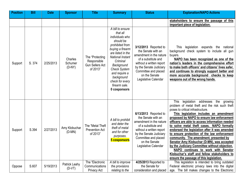| <b>Position</b> | <b>Bill</b> | <b>Date</b> | <b>Sponsor</b>                 | <b>Title</b>                                                         | <b>Summary</b>                                                                                                                                                                                                                                                                   | <b>Status</b>                                                                                                                                                                                                         | <b>Explanation/NAPO Actions</b>                                                                                                                                                                                                                                                                                                                                                                                                                                                                                                                                                                                                                                                                       |
|-----------------|-------------|-------------|--------------------------------|----------------------------------------------------------------------|----------------------------------------------------------------------------------------------------------------------------------------------------------------------------------------------------------------------------------------------------------------------------------|-----------------------------------------------------------------------------------------------------------------------------------------------------------------------------------------------------------------------|-------------------------------------------------------------------------------------------------------------------------------------------------------------------------------------------------------------------------------------------------------------------------------------------------------------------------------------------------------------------------------------------------------------------------------------------------------------------------------------------------------------------------------------------------------------------------------------------------------------------------------------------------------------------------------------------------------|
|                 |             |             |                                |                                                                      |                                                                                                                                                                                                                                                                                  |                                                                                                                                                                                                                       | stakeholders to ensure the passage of this<br>important piece of legislation.                                                                                                                                                                                                                                                                                                                                                                                                                                                                                                                                                                                                                         |
| Support         | S. 374      | 2/25/2013   | Charles<br>Schumer<br>$(D-NY)$ | The "Protecting<br>Responsible<br><b>Gun Sellers Act</b><br>of 2013" | A bill to ensure<br>that all<br>individuals who<br>should be<br>prohibited from<br>buying a firearm<br>are listed in the<br>National Instant<br>Criminal<br>Background<br><b>Check System</b><br>and require a<br>background<br>check for every<br>firearm sale.<br>0 cosponsors | 3/12/2013 Reported to<br>the Senate with an<br>amendment in the nature<br>of a substitute and<br>without a written report<br>by the Senate Judiciary<br>Committee and placed<br>on the Senate<br>Legislative Calendar | legislation expands the national<br>This<br>background check system to include all gun<br>buyers.<br>NAPO has been recognized as one of the<br>nation's leaders in the comprehensive effort<br>to make both officers' and citizens' lives safer,<br>and continues to strongly support better and<br>more accurate background checks to keep<br>weapons out of the wrong hands.                                                                                                                                                                                                                                                                                                                        |
| Support         | S.394       | 2/27/2013   | Amy Klobuchar<br>$(D-MN)$      | The "Metal Theft"<br><b>Prevention Act</b><br>of 2013"               | A bill to prohibit<br>and deter the<br>theft of metal<br>and for other<br>purposes.<br>5 cosponsors                                                                                                                                                                              | 6/13/2013 Reported to<br>the Senate with an<br>amendment in the nature<br>of a substitute and<br>without a written report<br>by the Senate Judiciary<br>Committee and placed<br>on the Senate<br>Legislative Calendar | legislation addresses the<br>This<br>growing<br>problem of metal theft and the risk such theft<br>poses to critical infrastructure.<br>This legislation includes an amendment<br>proposed by NAPO to ensure law enforcement<br>officers are able to access information needed<br>to solve metal theft cases. NAPO formally<br>endorsed the legislation after it was amended<br>to ensure protection of the law enforcement<br>community. The amendment, presented by<br>Senator Amy Klobuchar (D-MN), was accepted<br>by the Judiciary Committee without objection.<br>NAPO continues to work with Senator<br>Klobuchar's staff and fellow stakeholders to<br>ensure the passage of this legislation. |
| Oppose          | S.607       | 5/19/2013   | Patrick Leahy<br>$(D-VT)$      | The "Electronic<br>Communications<br><b>Privacy Act</b>              | A bill to improve<br>the provisions<br>relating to the                                                                                                                                                                                                                           | 4/25/2013 Reported to<br>the Senate for<br>consideration and placed                                                                                                                                                   | This legislation is intended to bring outdated<br>Federal electronic privacy laws into the digital<br>age. The bill makes changes to the Electronic                                                                                                                                                                                                                                                                                                                                                                                                                                                                                                                                                   |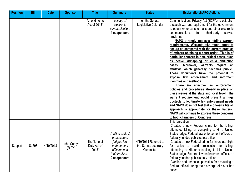| <b>Position</b> | <b>Bill</b> | <b>Date</b> | <b>Sponsor</b>          | <b>Title</b>                         | <b>Summary</b>                                                                                                      | <b>Status</b>                                              | <b>Explanation/NAPO Actions</b>                                                                                                                                                                                                                                                                                                                                                                                                                                                                                                                                                                                                                                                                                                                                                                                                                                                                                                                                                                                                                                                                                                            |
|-----------------|-------------|-------------|-------------------------|--------------------------------------|---------------------------------------------------------------------------------------------------------------------|------------------------------------------------------------|--------------------------------------------------------------------------------------------------------------------------------------------------------------------------------------------------------------------------------------------------------------------------------------------------------------------------------------------------------------------------------------------------------------------------------------------------------------------------------------------------------------------------------------------------------------------------------------------------------------------------------------------------------------------------------------------------------------------------------------------------------------------------------------------------------------------------------------------------------------------------------------------------------------------------------------------------------------------------------------------------------------------------------------------------------------------------------------------------------------------------------------------|
|                 |             |             |                         | Amendments<br>Act of 2013"           | privacy of<br>electronic<br>communication.<br>4 cosponsors                                                          | on the Senate<br>Legislative Calendar                      | Communications Privacy Act (ECPA) to establish<br>a search warrant requirement for the government<br>to obtain Americans' e-mails and other electronic<br>third-party<br>communications<br>from<br>service<br>providers.<br>NAPO strongly opposes adding warrant<br>requirements. Warrants take much longer to<br>secure as compared with the current practice<br>of officers obtaining a court order. This is of<br>particular concern in time-critical cases, such<br>as active kidnapping or child abduction<br>Moreover, warrants require an<br>cases.<br>affidavit, which generally becomes public.<br>These documents have the potential to<br>expose law enforcement and informant<br>identities and methods.<br>There are effective law enforcement<br>policies and procedures already in place on<br>these issues at the state and local level. The<br>warrant requirement would present a huge<br>obstacle to legitimate law enforcement needs<br>and NAPO does not feel that a one-size fits all<br>approach is appropriate for these matters.<br>NAPO will continue to express these concerns<br>to both chambers of Congress. |
| Support         | S. 698      | 4/10/2013   | John Cornyn<br>$(R-TX)$ | The "Line of<br>Duty Act of<br>2013" | A bill to protect<br>prosecutors,<br>judges, law<br>enforcement<br>officers, and<br>their families.<br>0 cosponsors | 4/10/2013 Referred to<br>the Senate Judiciary<br>Committee | This legislation:<br>-Creates a new Federal crime for the killing,<br>attempted killing, or conspiring to kill a United<br>States judge, Federal law enforcement officer, or<br>federally funded public safety officer.<br>-Creates a new Federal crime for interstate flight<br>for justice to avoid prosecution for killing,<br>attempting to kill, or conspiring to kill a United<br>States judge, Federal law enforcement officer, or<br>federally funded public safety officer.<br>-Clarifies and enhances penalties for assaulting a<br>Federal official during the discharge of his or her<br>duties.                                                                                                                                                                                                                                                                                                                                                                                                                                                                                                                               |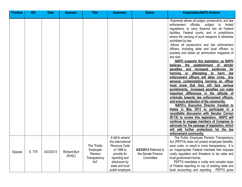| <b>Position</b> | <b>Bill</b> | <b>Date</b> | <b>Sponsor</b>                  | <b>Title</b>                                               | <b>Summary</b>                                                                                                                                            | <b>Status</b>                                            | <b>Explanation/NAPO Actions</b>                                                                                                                                                                                                                                                                                                                                                                                                                                                                                                                                                                                                                                                                                                                                                                                                                                                                                                                                                                                                                                                                                                                                                                                                                                                                                 |
|-----------------|-------------|-------------|---------------------------------|------------------------------------------------------------|-----------------------------------------------------------------------------------------------------------------------------------------------------------|----------------------------------------------------------|-----------------------------------------------------------------------------------------------------------------------------------------------------------------------------------------------------------------------------------------------------------------------------------------------------------------------------------------------------------------------------------------------------------------------------------------------------------------------------------------------------------------------------------------------------------------------------------------------------------------------------------------------------------------------------------------------------------------------------------------------------------------------------------------------------------------------------------------------------------------------------------------------------------------------------------------------------------------------------------------------------------------------------------------------------------------------------------------------------------------------------------------------------------------------------------------------------------------------------------------------------------------------------------------------------------------|
|                 |             |             |                                 |                                                            |                                                                                                                                                           |                                                          | -Expressly allows all judges, prosecutors, and law<br>enforcement officials, subject to<br>limited<br>regulations, to carry firearms into all Federal<br>facilities, Federal courts, and in jurisdictions<br>where the carrying of such weapons is otherwise<br>prohibited by law.<br>-Allows all prosecutors and law enforcement<br>officers, including state and local officers, to<br>possess and obtain an ammunition magazine of<br>any size.<br>NAPO supports this legislation, as NAPO<br>believes the establishment of stricter<br>penalties and increased sentences<br>for<br>or attempting<br>harming<br>to<br>law<br>harm<br>enforcement officers will deter crime. Any<br>persons contemplating harming an officer<br>must know that they will face serious<br>punishments. Increased penalties can make<br>important differences in the attitude of<br>criminals towards law enforcement officers,<br>and ensure protection of the community.<br>NAPO's Executive Director traveled to<br>Dallas in May 2013 to participate in a<br>roundtable discussion with Senator Cornyn<br>(R-TX) to review this legislation. NAPO will<br>continue to engage members of Congress to<br>advocate for the passage of legislation, which<br>will add further protections for the law<br>enforcement community. |
| Oppose          | S.779       | 4/23/2013   | <b>Richard Burr</b><br>$(R-NC)$ | The "Public<br>Employee<br>Pension<br>Transparency<br>Act" | A bill to amend<br>the International<br>Revenue Code<br>of 1986 to<br>provide for<br>reporting and<br>disclosure by<br>state and local<br>public employee | 4/23/2013 Referred to<br>the Senate Finance<br>Committee | The Public Employee Pension Transparency<br>Act (PEPTA) does not protect employee benefits,<br>save costs, or result in more transparency. It is<br>an inappropriate Federal mandate that imposes<br>costly regulation and threatens to tax state and<br>local government bonds.<br>PEPTA mandates a costly and complex layer<br>of Federal reporting on top of existing state and<br>local accounting and reporting.<br>PEPTA gives                                                                                                                                                                                                                                                                                                                                                                                                                                                                                                                                                                                                                                                                                                                                                                                                                                                                            |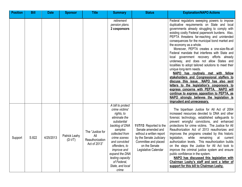| <b>Position</b> | <b>Bill</b> | <b>Date</b> | <b>Sponsor</b>            | <b>Title</b>                                               | <b>Summary</b>                                                                                                                                                                                                                                                                             | <b>Status</b>                                                                                                                                                         | <b>Explanation/NAPO Actions</b>                                                                                                                                                                                                                                                                                                                                                                                                                                                                                                                                                                                                                                                                                                                                                                                                                                                                                                                             |
|-----------------|-------------|-------------|---------------------------|------------------------------------------------------------|--------------------------------------------------------------------------------------------------------------------------------------------------------------------------------------------------------------------------------------------------------------------------------------------|-----------------------------------------------------------------------------------------------------------------------------------------------------------------------|-------------------------------------------------------------------------------------------------------------------------------------------------------------------------------------------------------------------------------------------------------------------------------------------------------------------------------------------------------------------------------------------------------------------------------------------------------------------------------------------------------------------------------------------------------------------------------------------------------------------------------------------------------------------------------------------------------------------------------------------------------------------------------------------------------------------------------------------------------------------------------------------------------------------------------------------------------------|
|                 |             |             |                           |                                                            | retirement<br>pension plans.<br>2 cosponsors                                                                                                                                                                                                                                               |                                                                                                                                                                       | Federal regulators sweeping powers to impose<br>duplicative requirements on State and local<br>governments already struggling to comply with<br>existing costly Federal paperwork burdens. Also,<br>PEPTA threatens far-reaching and unintended<br>consequences for the municipal bond market and<br>the economy as a whole.<br>Moreover, PEPTA creates a one-size-fits-all<br>Federal mandate that interferes with State and<br>local government recovery efforts already<br>underway, and does not allow States and<br>localities to adopt tailored solutions to meet their<br>unique long-term needs.<br>NAPO has routinely met with fellow<br>stakeholders and Congressional staffers to<br>discuss this issue. NAPO has also sent<br>letters to the legislation's cosponsors to<br>express concerns with PEPTA.<br>NAPO will<br>continue to express opposition to PEPTA, as<br>NAPO strongly believes the legislation is<br>imprudent and unnecessary. |
| Support         | S.822       | 4/25/2013   | Patrick Leahy<br>$(D-VT)$ | The "Justice for<br>All<br>Reauthorization<br>Act of 2013" | A bill to protect<br>crime victims'<br>rights, to<br>eliminate the<br>substantial<br>backlog of DNA<br>samples<br>collected from<br>crime scenes<br>and convicted<br>offenders, to<br><i>improve</i> and<br>expand the DNA<br>testing capacity<br>of Federal,<br>State, and local<br>crime | 11/7/13 Reported to the<br>Senate amended and<br>without a written report<br>by the Senate Judiciary<br>Committee and placed<br>on the Senate<br>Legislative Calendar | The bipartisan Justice for All Act of 2004<br>increased resources devoted to DNA and other<br>forensic technology, established safeguards to<br>prevent wrongful convictions, and enhanced<br>protections for crime victims. The Justice for All<br>Reauthorization Act of 2013 reauthorizes and<br>improves the programs created by this historic<br>while<br>legislation,<br>remaining<br>current<br>at<br>authorization levels. This reauthorization builds<br>on the steps the Justice for All Act took to<br>improve the criminal justice system and ensure<br>public confidence in the system.<br>NAPO has discussed this legislation with<br>Chairman Leahy's staff and sent a letter of<br>support for this bill to Chairman Leahy.                                                                                                                                                                                                                 |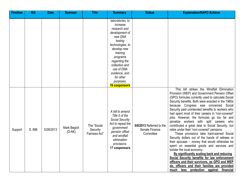| <b>Position</b> | <b>Bill</b> | <b>Date</b> | <b>Sponsor</b>          | <b>Title</b>                             | <b>Summary</b>                                                                                                                                                                                                                                               | <b>Status</b>                                           | <b>Explanation/NAPO Actions</b>                                                                                                                                                                                                                                                                                                                                                                                                                                                                                                                                                                                                                                                                                                                                                                                                                                                                                                                                                                                       |
|-----------------|-------------|-------------|-------------------------|------------------------------------------|--------------------------------------------------------------------------------------------------------------------------------------------------------------------------------------------------------------------------------------------------------------|---------------------------------------------------------|-----------------------------------------------------------------------------------------------------------------------------------------------------------------------------------------------------------------------------------------------------------------------------------------------------------------------------------------------------------------------------------------------------------------------------------------------------------------------------------------------------------------------------------------------------------------------------------------------------------------------------------------------------------------------------------------------------------------------------------------------------------------------------------------------------------------------------------------------------------------------------------------------------------------------------------------------------------------------------------------------------------------------|
|                 |             |             |                         |                                          | laboratories, to<br>increase<br>research and<br>development of<br>new DNA<br>testing<br>technologies, to<br>develop new<br>training<br>programs<br>regarding the<br>collection and<br>use of DNA<br>evidence, and<br>for other<br>purposes.<br>16 cosponsors |                                                         |                                                                                                                                                                                                                                                                                                                                                                                                                                                                                                                                                                                                                                                                                                                                                                                                                                                                                                                                                                                                                       |
| Support         | S. 896      | 5/28/2013   | Mark Begich<br>$(D-AK)$ | The "Social<br>Security<br>Fairness Act" | A bill to amend<br>Title II of the<br><b>Social Security</b><br>Act to repeal the<br>government<br>pension offset<br>and windfall<br>elimination<br>provisions.<br>17 cosponsors                                                                             | 5/8/2013 Referred to the<br>Senate Finance<br>Committee | This bill strikes the Windfall Elimination<br>Provision (WEP) and Government Pension Offset<br>(GPO) formulas currently used to calculate Social<br>Security benefits. Both were enacted in the 1980s<br>because Congress was concerned Social<br>Security paid unintended benefits to workers who<br>had spent most of their careers in "non-covered"<br>jobs. However, the formulas go too far and<br>penalize workers with split careers who<br>contributed a great deal to Social Security, but<br>retire under their "non-covered" pensions.<br>These provisions take hard-earned Social<br>Security dollars out of the hands of retirees or<br>their spouses – money that would otherwise be<br>spent on essential goods and services and<br>bolster the local economy.<br>By significantly scaling back and reducing<br>Social Security benefits for law enforcement<br>officers and their survivors, as GPO and WEP<br>do, officers and their families are provided<br>much less protection against financial |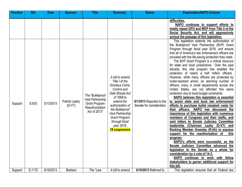| <b>Position</b> | <b>Bill</b> | <b>Date</b> | <b>Sponsor</b>            | <b>Title</b>                                                                                    | <b>Summary</b>                                                                                                                                                                      | <b>Status</b>                                        | <b>Explanation/NAPO Actions</b>                                                                                                                                                                                                                                                                                                                                                                                                                                                                                                                                                                                                                                                                                                                                                                                                                                                                                                                                                                                                                                                                                                                               |
|-----------------|-------------|-------------|---------------------------|-------------------------------------------------------------------------------------------------|-------------------------------------------------------------------------------------------------------------------------------------------------------------------------------------|------------------------------------------------------|---------------------------------------------------------------------------------------------------------------------------------------------------------------------------------------------------------------------------------------------------------------------------------------------------------------------------------------------------------------------------------------------------------------------------------------------------------------------------------------------------------------------------------------------------------------------------------------------------------------------------------------------------------------------------------------------------------------------------------------------------------------------------------------------------------------------------------------------------------------------------------------------------------------------------------------------------------------------------------------------------------------------------------------------------------------------------------------------------------------------------------------------------------------|
| Support         | S.933       | 5/13/2013   | Patrick Leahy<br>$(D-VT)$ | The "Bulletproof<br>Vest Partnership<br><b>Grant Program</b><br>Reauthorization<br>Act of 2013" | A bill to amend<br>Title I of the<br><b>Omnibus Crime</b><br>Control and<br>Safe Streets Act<br>of 1968 to<br>extend the<br>authorization of<br>the Bulletproof<br>Vest Partnership | 8/1/2013 Reported to the<br>Senate for consideration | difficulties.<br>NAPO continues to support efforts to<br>totally repeal GPO and WEP from Title II of the<br>Social Security Act, and will aggressively<br>pursue the passage of this legislation.<br>This legislation extends the authorization of<br>the Bulletproof Vest Partnership (BVP) Grant<br>Program through fiscal year 2018, and ensure<br>that all of America's law enforcement officers are<br>provided with the life-saving protection they need.<br>The BVP Grant Program is a critical resource<br>for state and local jurisdictions. Over the past<br>decade, this vital program has enabled the<br>protection of nearly a half million officers.<br>However, while many officers are protected by<br>bullet-resistant armor, an alarming number of<br>officers, many in small departments across the<br>United States, are not afforded this same<br>protection due to local budget constraints.<br>NAPO believes this legislation is essential<br>to assist state and local law enforcement<br>efforts to purchase bullet resistant vests for<br>their officers.<br>NAPO has discussed the<br>importance of this legislation with numerous |
|                 |             |             |                           |                                                                                                 | <b>Grant Program</b><br>through fiscal<br>year 2018.<br>19 cosponsors                                                                                                               |                                                      | members of Congress and their staffs, and<br>sent letters to Senate Judiciary Committee<br>leadership (Chairman Leahy (D-VT)<br>and<br>Ranking Member Grassley (R-IA)) to express<br>support for the reauthorization of<br>this<br>program.<br>NAPO's efforts were successful, as the<br>Senate Judiciary Committee advanced the                                                                                                                                                                                                                                                                                                                                                                                                                                                                                                                                                                                                                                                                                                                                                                                                                              |
|                 |             |             |                           |                                                                                                 |                                                                                                                                                                                     |                                                      | legislation to the Senate as a whole for<br>consideration by a vote of 14-3.<br>NAPO continues to work with fellow<br>stakeholders to garner additional support for<br>this bill.                                                                                                                                                                                                                                                                                                                                                                                                                                                                                                                                                                                                                                                                                                                                                                                                                                                                                                                                                                             |
| Support         | S.1172      | 6/18/2013   | Barbara                   | The "Law                                                                                        | A bill to amend                                                                                                                                                                     | 6/18/2013 Referred to                                | This legislation ensures that all Federal law                                                                                                                                                                                                                                                                                                                                                                                                                                                                                                                                                                                                                                                                                                                                                                                                                                                                                                                                                                                                                                                                                                                 |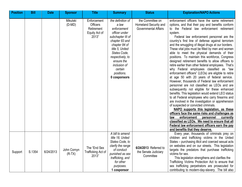| <b>Position</b> | <b>Bill</b> | <b>Date</b> | <b>Sponsor</b>          | <b>Title</b>                                                           | <b>Summary</b>                                                                                                                                                                                                                                   | <b>Status</b>                                                            | <b>Explanation/NAPO Actions</b>                                                                                                                                                                                                                                                                                                                                                                                                                                                                                                                                                                                                                                                                                                                                                                                                                                                                                                                                                                                                                                                                                                                                                                                                                                                                                                                                                 |
|-----------------|-------------|-------------|-------------------------|------------------------------------------------------------------------|--------------------------------------------------------------------------------------------------------------------------------------------------------------------------------------------------------------------------------------------------|--------------------------------------------------------------------------|---------------------------------------------------------------------------------------------------------------------------------------------------------------------------------------------------------------------------------------------------------------------------------------------------------------------------------------------------------------------------------------------------------------------------------------------------------------------------------------------------------------------------------------------------------------------------------------------------------------------------------------------------------------------------------------------------------------------------------------------------------------------------------------------------------------------------------------------------------------------------------------------------------------------------------------------------------------------------------------------------------------------------------------------------------------------------------------------------------------------------------------------------------------------------------------------------------------------------------------------------------------------------------------------------------------------------------------------------------------------------------|
|                 |             |             | Mikulski<br>$(D-MD)$    | Enforcement<br><b>Officers</b><br>Retirement<br>Equity Act of<br>2013" | the definition of<br>a law<br>enforcement<br>officer under<br>subchapter III of<br>chapter 83 and<br>chapter 84 of<br>title 5, United<br>States Code,<br>respectively, to<br>ensure the<br>inclusion of<br>certain<br>positions.<br>0 cosponsors | the Committee on<br>Homeland Security and<br><b>Governmental Affairs</b> | enforcement officers have the same retirement<br>options, and that their pay and benefits conform<br>to the Federal law enforcement retirement<br>system.<br>Federal law enforcement personnel are the<br>country's first line of defense against terrorism<br>and the smuggling of illegal drugs at our borders.<br>These vital jobs must be filled by men and women<br>able to meet the physical demands of their<br>positions. To maintain this workforce, Congress<br>designed retirement benefits to allow officers to<br>retire earlier than other federal employees. That's<br>why Federal employees classified as "law<br>enforcement officers" (LEOs) are eligible to retire<br>at age 50 with 20 years of federal service.<br>However, thousands of Federal law enforcement<br>personnel are not classified as LEOs and are<br>subsequently not eligible for these enhanced<br>benefits. This legislation would extend LEO status<br>to all Federal employees who carry firearms and<br>are involved in the investigation or apprehension<br>of suspected or convicted criminals.<br>NAPO supports this legislation, as these<br>officers face the same risks and challenges as<br>enforcement<br>personnel<br>currently<br>law<br>classified as LEOs. We need to ensure that all<br>Federal law enforcement officers earn the pay<br>and benefits that they deserve. |
| Support         | S.1354      | 6/24/2013   | John Cornyn<br>$(R-TX)$ | The "End Sex<br><b>Trafficking Act of</b><br>2013"                     | A bill to amend<br>title 18, United<br>States Code, to<br>clarify the range<br>of conduct<br>punished as sex<br>trafficking, and<br>for other<br>purposes.<br>cosponsor                                                                          | 6/24/2013 Referred to<br>the Senate Judiciary<br>Committee               | Every year, thousands of criminals prey on<br>children and trafficking victims in the United<br>States – purchasing illicit and coerced sexual acts<br>on websites and on our streets. This legislation<br>targets the predators that purchase trafficking<br>victims for sex.<br>This legislation strengthens and clarifies the<br>Trafficking Victims Protection Act to ensure that<br>sex trafficking perpetrators are prosecuted for<br>contributing to modern-day-slavery. The bill also                                                                                                                                                                                                                                                                                                                                                                                                                                                                                                                                                                                                                                                                                                                                                                                                                                                                                   |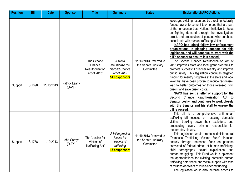| <b>Position</b> | <b>Bill</b> | <b>Date</b> | <b>Sponsor</b>            | <b>Title</b>                                            | <b>Summary</b>                                                                  | <b>Status</b>                                               | <b>Explanation/NAPO Actions</b>                                                                                                                                                                                                                                                                                                                                                                                                                                                                                                                                                                                                                                                                                                |
|-----------------|-------------|-------------|---------------------------|---------------------------------------------------------|---------------------------------------------------------------------------------|-------------------------------------------------------------|--------------------------------------------------------------------------------------------------------------------------------------------------------------------------------------------------------------------------------------------------------------------------------------------------------------------------------------------------------------------------------------------------------------------------------------------------------------------------------------------------------------------------------------------------------------------------------------------------------------------------------------------------------------------------------------------------------------------------------|
|                 |             |             |                           |                                                         |                                                                                 |                                                             | leverages existing resources by directing federally<br>funded law enforcement task forces that are part<br>of the Innocence Lost National Initiative to focus<br>on fighting demand through the investigation,<br>arrest, and prosecution of persons who purchase<br>sexual acts with human trafficking victims.<br>NAPO has joined fellow law enforcement<br>organizations in pledging support for this<br>legislation, and will continue to work with the<br>bill's sponsor to ensure it is passed.                                                                                                                                                                                                                          |
| Support         | S.1690      | 11/13/2013  | Patrick Leahy<br>$(D-VT)$ | The Second<br>Chance<br>Reauthorization<br>Act of 2013" | A bill to<br>reauthorize the<br>Second Chance<br>Act of 2013.<br>14 cosponsors  | 11/13/2013 Referred to<br>the Senate Judiciary<br>Committee | The Second Chance Reauthorization Act of<br>2013 improves state and local grant programs to<br>promote successful prisoner reentry and improve<br>public safety. This legislation continues targeted<br>funding for reentry programs at the state and local<br>level that have been proven to reduce recidivism,<br>lead to better outcomes for those released from<br>prison, and save prison costs.<br>NAPO has sent a letter of support for the<br>Second Chance Reauthorization Act to<br>Senator Leahy, and continues to work closely<br>with the Senator and his staff to ensure the<br>bill is passed.                                                                                                                  |
| Support         | S.1738      | 11/19/2013  | John Cornyn<br>$(R-TX)$   | The "Justice for<br>Victims of<br>Trafficking Act"      | A bill to provide<br>justice for<br>victims of<br>trafficking.<br>18 cosponsors | 11/19/2013 Referred to<br>the Senate Judiciary<br>Committee | This bill is a comprehensive anti-human<br>trafficking bill focused on rescuing domestic<br>victims, tracking down their exploiters, and<br>prosecuting every criminal responsible for<br>modern-day slavery.<br>This legislation would create a deficit-neutral<br>"Domestic Trafficking Victims Fund" financed<br>entirely through increased fines on persons<br>convicted of federal crimes of human trafficking,<br>child pornography, sexual exploitation, and<br>human smuggling. This Fund would supplement<br>the appropriations for existing domestic human<br>trafficking deterrence and victim support with tens<br>of millions of dollars of much-needed funding.<br>The legislation would also increase access to |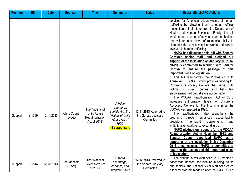| <b>Position</b> | <b>Bill</b> | <b>Date</b> | <b>Sponsor</b>          | <b>Title</b>                                                             | <b>Summary</b>                                                                                                     | <b>Status</b>                                               | <b>Explanation/NAPO Actions</b>                                                                                                                                                                                                                                                                                                                                                                                                                                                                                                                                                                                                                                                                                                                                                                                                                                                                      |
|-----------------|-------------|-------------|-------------------------|--------------------------------------------------------------------------|--------------------------------------------------------------------------------------------------------------------|-------------------------------------------------------------|------------------------------------------------------------------------------------------------------------------------------------------------------------------------------------------------------------------------------------------------------------------------------------------------------------------------------------------------------------------------------------------------------------------------------------------------------------------------------------------------------------------------------------------------------------------------------------------------------------------------------------------------------------------------------------------------------------------------------------------------------------------------------------------------------------------------------------------------------------------------------------------------------|
|                 |             |             |                         |                                                                          |                                                                                                                    |                                                             | services for American citizen victims of human<br>trafficking by allowing them to obtain official<br>recognition of their status from the Department of<br>Health and Human Services. Finally, the bill<br>would create a series of new tools and authorities<br>that will enhance law enforcement's ability to<br>dismantle the vast criminal networks and cartels<br>involved in human trafficking.<br>NAPO has discussed this bill with Senator<br>Cornyn's senior staff, and pledged our<br>support of the legislation on January 10, 2014.<br>NAPO is committed to working with Senator<br>Cornyn to ensure the passage of this<br>important piece of legislation.                                                                                                                                                                                                                              |
| Support         | S.1799      | 12/11/2013  | Chris Coons<br>$(D-DE)$ | The "Victims of<br><b>Child Abuse</b><br>Reauthorization<br>Act of 2013" | A bill to<br>reauthorize<br>subtitle A of the<br><b>Victims of Child</b><br>Abuse Act of<br>1990.<br>11 cosponsors | 12/11/2013 Referred to<br>the Senate Judiciary<br>Committee | This bill reauthorizes the Victims of Child<br>Abuse Act (VOCAA), which provides funding for<br>Children's Advocacy Centers that serve child<br>victims of violent crimes and help<br>law<br>enforcement hold perpetrators accountable.<br>The VOCAA Reauthorization Act of 2013<br>increases authorization levels for Children's<br>Advocacy Centers for the first time since the<br>VOCAA was enacted in 1990.<br>The reauthorization also strengthens the<br>programs through enhanced accountability<br>non-profit<br>requirements,<br>provisions,<br>and<br>limitations on conference expenditures.<br>NAPO pledged our support for the VOCAA<br>Reauthorization Act in November 2013, and<br>Senator Coons recognized NAPO as a<br>supporter of the legislation in his December<br>2013 press release. NAPO is committed to<br>ensuring the passage of this important piece<br>of legislation. |
| Support         | S.1814      | 12/12/2013  | Joe Manchin<br>$(D-WV)$ | The "National<br>Silver Alert Act<br>of 2013"                            | A bill to<br>encourage,<br>enhance, and<br>integrate Silver                                                        | 12/12/2013 Referred to<br>the Senate Judiciary<br>Committee | The National Silver Alert Act of 2013 creates a<br>nationwide network for locating missing adults<br>and seniors. The National Silver Alert Act creates<br>a federal program modeled after the AMBER Alert                                                                                                                                                                                                                                                                                                                                                                                                                                                                                                                                                                                                                                                                                           |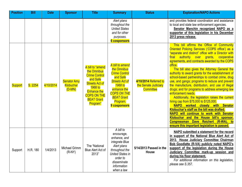| <b>Position</b> | <b>Bill</b> | <b>Date</b> | <b>Sponsor</b>                              | <b>Title</b>                                                                                                                                                                                 | <b>Summary</b>                                                                                                                                                                                      | <b>Status</b>                                                     | <b>Explanation/NAPO Actions</b>                                                                                                                                                                                                                                                                                                                                                                                                                                                                                                                                                                                                                                                                                                                                                                                                                                                                                                                                    |
|-----------------|-------------|-------------|---------------------------------------------|----------------------------------------------------------------------------------------------------------------------------------------------------------------------------------------------|-----------------------------------------------------------------------------------------------------------------------------------------------------------------------------------------------------|-------------------------------------------------------------------|--------------------------------------------------------------------------------------------------------------------------------------------------------------------------------------------------------------------------------------------------------------------------------------------------------------------------------------------------------------------------------------------------------------------------------------------------------------------------------------------------------------------------------------------------------------------------------------------------------------------------------------------------------------------------------------------------------------------------------------------------------------------------------------------------------------------------------------------------------------------------------------------------------------------------------------------------------------------|
|                 |             |             |                                             |                                                                                                                                                                                              | Alert plans<br>throughout the<br><b>United States</b><br>and for other<br>purposes.<br><b>6 cosponsors</b>                                                                                          |                                                                   | and provides federal coordination and assistance<br>to local and state law enforcement agencies.<br>Senator Manchin recognized NAPO as a<br>supporter of this legislation in his December<br>2013 press release.                                                                                                                                                                                                                                                                                                                                                                                                                                                                                                                                                                                                                                                                                                                                                   |
| <b>Support</b>  | S. 2254     | 4/10/2014   | <b>Senator Amy</b><br>Klobuchar<br>$(D-MN)$ | A bill to "amend<br>the Omnibus<br><b>Crime Control</b><br>and Safe<br><b>Streets Act of</b><br>1968 to<br><b>Enhance the</b><br><b>COPS ON THE</b><br><b>BEAT Grant</b><br><b>Program</b> " | A bill to amend<br>the Omnibus<br><b>Crime Control</b><br>and Safe<br><b>Streets Act of</b><br><b>1968 to</b><br>enhance the<br><b>COPS ON THE</b><br><b>BEAT Grant</b><br>Program.<br>9 cosponsors | 4/10/2014 Referred to<br>the Senate Judiciary<br><b>Committee</b> | This bill affirms the Office of Community<br>Oriented Policing Services ('COPS office') as a<br>"separate and distinct" office with a Director with<br>final authority over grants, cooperative<br>agreements, and contracts awarded by the COPS<br>office.<br>The bill also gives the Attorney General the<br>authority to award grants for the establishment of<br>school-based partnerships to combat crime, drug<br>use, and gangs; programs to reduce and prevent<br>the manufacture, distribution, and use of illegal<br>drugs; and for programs to address emerging law<br>enforcement needs.<br>Additionally, the legislation raises the current<br>hiring cap from \$75,000 to \$125,000.<br>NAPO worked closely with Senator<br>Klobuchar's staff as the bill was drafted.<br>NAPO will continue to work with Senator<br>Klobuchar and the House bill's sponsor,<br>Congressman Dave Reichert (R-WA), to<br>ensure this important legislation is passed. |
| Support         | H.R. 180    | 1/4/2013    | Michael Grimm<br>$(R-NY)$                   | The "National<br>Blue Alert Act of<br>2013"                                                                                                                                                  | A bill to<br>encourage,<br>enhance, and<br>integrate Blue<br>Alert plans<br>throughout the<br><b>United States in</b><br>order to<br>disseminate<br>information<br>when a law                       | 5/14/2013 Passed in the<br>House                                  | NAPO submitted a statement for the record<br>in support of the National Blue Alert Act of<br>2013. House Judiciary Committee Chairman<br>Bob Goodlatte (R-VA) publicly noted NAPO's<br>support of the legislation during the House<br>Judiciary Committee mark-up session and<br>during his floor statement.<br>For additional information on this legislation,<br>please see S.357.                                                                                                                                                                                                                                                                                                                                                                                                                                                                                                                                                                               |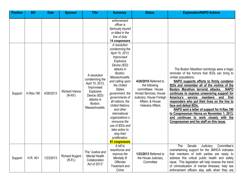| <b>Position</b> | <b>Bill</b> | <b>Date</b> | <b>Sponsor</b>                        | <b>Title</b>                                                                                                                                   | <b>Summary</b>                                                                                                                                                                                                                                                                                                                                                                                                                                                                                                             | <b>Status</b>                                                                                                                                                   | <b>Explanation/NAPO Actions</b>                                                                                                                                                                                                                                                                                                                                                                                                                                                                                                                                                                                              |
|-----------------|-------------|-------------|---------------------------------------|------------------------------------------------------------------------------------------------------------------------------------------------|----------------------------------------------------------------------------------------------------------------------------------------------------------------------------------------------------------------------------------------------------------------------------------------------------------------------------------------------------------------------------------------------------------------------------------------------------------------------------------------------------------------------------|-----------------------------------------------------------------------------------------------------------------------------------------------------------------|------------------------------------------------------------------------------------------------------------------------------------------------------------------------------------------------------------------------------------------------------------------------------------------------------------------------------------------------------------------------------------------------------------------------------------------------------------------------------------------------------------------------------------------------------------------------------------------------------------------------------|
| Support         | H.Res.190   | 4/26/2013   | <b>Richard Hanna</b><br>$(R-NY)$      | A resolution<br>condemning the<br>April 15, 2013,<br>Improvised<br><b>Explosive</b><br>Device (IED)<br>attacks in<br>Boston,<br>Massachusetts. | enforcement<br>officer is<br>Seriously injured<br>or killed in the<br>line of duty<br>14 cosponsors<br>A resolution<br>condemning the<br>April 15, 2013,<br>Improvised<br>Explosive<br>Device (IED)<br>attacks in<br>Boston,<br>Massachusetts,<br>and calling upon<br>the United<br><b>States</b><br>government, the<br>governments of<br>all nations, the<br><b>United Nations,</b><br>and other<br>international<br>organizations o<br>renounce the<br>use of IEDs and<br>take action to<br>stop their<br>proliferation. | 4/26/2016 Referred to<br>the following<br>committees: House<br>Armed Services, House<br>Judiciary, House Foreign<br>Affairs, & House<br><b>Veterans Affairs</b> | The Boston Marathon bombings were a tragic<br>reminder of the horrors that IEDs can bring to<br>civilian populations.<br>NAPO supports efforts to firmly condemn<br>IEDs and remember all of the victims of the<br>Boston Marathon terrorist attacks.<br><b>NAPO</b><br>continues to express unwavering support for<br>America's service<br>members and<br>first<br>responders who put their lives on the line to<br>face and defeat IEDs.<br>NAPO sent a letter of support for H.Res.190<br>to Congressman Hanna on November 1, 2013,<br>and continues to work closely with the<br>Congressman and his staff on this issue. |
| Support         | H.R. 401    | 1/23/2013   | <b>Richard Nugent</b><br>$(R$ -FL $)$ | The "Justice and<br><b>Mental Health</b><br>Collaboration<br>Act of 2013"                                                                      | 61 cosponsors<br>A bill to<br>reauthorize and<br><i>improve the</i><br>Mentally III<br><b>Offender</b><br>Treatment and<br>Crime                                                                                                                                                                                                                                                                                                                                                                                           | 1/23/2013 Referred to<br>the House Judiciary<br>Committee                                                                                                       | The<br>Senate<br>Judiciary<br>Committee's<br>overwhelming support for the JMHCA indicates<br>that members of both parties are ready to<br>address this critical public health and safety<br>issue. This legislation will help reverse the trend<br>of criminalization of mental illnesses, help law<br>enforcement officers stay safe when they are                                                                                                                                                                                                                                                                          |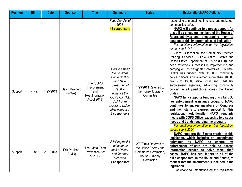| <b>Position</b> | <b>Bill</b> | <b>Date</b> | <b>Sponsor</b>             | <b>Title</b>                                                       | <b>Summary</b>                                                                                                                                                                                            | <b>Status</b>                                                                                        | <b>Explanation/NAPO Actions</b>                                                                                                                                                                                                                                                                                                                                                                                                                                                                                                                                                                                                                                                                                                                                                                                                                                                                                 |
|-----------------|-------------|-------------|----------------------------|--------------------------------------------------------------------|-----------------------------------------------------------------------------------------------------------------------------------------------------------------------------------------------------------|------------------------------------------------------------------------------------------------------|-----------------------------------------------------------------------------------------------------------------------------------------------------------------------------------------------------------------------------------------------------------------------------------------------------------------------------------------------------------------------------------------------------------------------------------------------------------------------------------------------------------------------------------------------------------------------------------------------------------------------------------------------------------------------------------------------------------------------------------------------------------------------------------------------------------------------------------------------------------------------------------------------------------------|
|                 |             |             |                            |                                                                    | <b>Reduction Act of</b><br>2004.<br>44 cosponsors                                                                                                                                                         |                                                                                                      | responding to mental health crises, and make our<br>communities safer.<br>NAPO will continue to express support for<br>this bill by engaging members of the House of<br>Representatives and encouraging them to<br>cosponsor this important piece of legislation.<br>For additional information on this legislation,<br>please see S.162.                                                                                                                                                                                                                                                                                                                                                                                                                                                                                                                                                                       |
| Support         | H.R. 421    | 1/25/2013   | David Reichert<br>$(R-WA)$ | The "COPS<br>Improvement<br>and<br>Reauthorization<br>Act of 2013" | A bill to amend<br>the Omnibus<br><b>Crime Control</b><br>and Safe<br>Streets Act of<br>1968 to<br>enhance the<br>COPS ON THE<br><b>BEAT</b> grant<br>program, and for<br>other purposes.<br>8 cosponsors | 1/25/2013 Referred to<br>the House Judiciary<br>Committee                                            | Since its inception, the Community Oriented<br>Policing Services (COPS) Office, (within the<br>United States Department of Justice (DOJ)), has<br>been extremely successful in implementing and<br>carrying out its designated objectives. To date,<br>COPS has funded over 118,000 community<br>police officers and awarded more than 40,000<br>grants to 13,300 state, local, and tribal law<br>enforcement agencies, advancing community<br>policing in all jurisdictions across the United<br>States.<br>NAPO fully supports funding this vital DOJ<br>law enforcement assistance program. NAPO<br>continues to engage members of Congress<br>and their staffs to express support for this<br>legislation. Additionally, NAPO regularly<br>meets with COPS Office leadership to discuss<br>needs and trends regarding the program.<br>For additional information on this legislation,<br>please see S.2254. |
| Support         | H.R. 867    | 2/27/2013   | Erik Paulsen<br>$(R-MN)$   | The "Metal Theft<br><b>Prevention Act</b><br>of 2013"              | A bill to prohibit<br>and deter the<br>theft of metal,<br>and for other<br>purposes.<br>4 cosponsors                                                                                                      | 2/27/2013 Referred to<br>the House Energy and<br>Commerce Committee,<br>House Judiciary<br>Committee | NAPO supports the Senate version of this<br>legislation, which includes an amendment,<br>submitted<br>NAPO,<br>by<br>to<br>ensure<br>law<br>enforcement officers are able to access<br>information needed to solve metal theft<br>cases. NAPO has sent letters to all of the<br>bill's cosponsors, in the House and Senate, to<br>request that the amendment is included in the<br>legislation.<br>For additional information on this legislation,                                                                                                                                                                                                                                                                                                                                                                                                                                                              |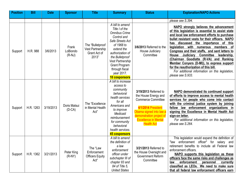| <b>Position</b> | <b>Bill</b> | <b>Date</b> | <b>Sponsor</b>                | <b>Title</b>                                                  | <b>Summary</b>                                                                                                                                                                                                                                                      | <b>Status</b>                                                                                                                                                                                               | <b>Explanation/NAPO Actions</b>                                                                                                                                                                                                                                                                                                                                                                                                                                                                                                                                                                                             |
|-----------------|-------------|-------------|-------------------------------|---------------------------------------------------------------|---------------------------------------------------------------------------------------------------------------------------------------------------------------------------------------------------------------------------------------------------------------------|-------------------------------------------------------------------------------------------------------------------------------------------------------------------------------------------------------------|-----------------------------------------------------------------------------------------------------------------------------------------------------------------------------------------------------------------------------------------------------------------------------------------------------------------------------------------------------------------------------------------------------------------------------------------------------------------------------------------------------------------------------------------------------------------------------------------------------------------------------|
|                 |             |             |                               |                                                               |                                                                                                                                                                                                                                                                     |                                                                                                                                                                                                             | please see S.394.                                                                                                                                                                                                                                                                                                                                                                                                                                                                                                                                                                                                           |
| Support         | H.R. 988    | 3/6/2013    | Frank<br>LoBiondo<br>$(R-NJ)$ | The "Bulletproof<br>Vest Partnership<br>Grant Act of<br>2013" | A bill to amend<br>Title I of the<br><b>Omnibus Crime</b><br>Control and<br>Safe Streets Act<br>of 1968 to<br>extend the<br>authorization of<br>the Bulletproof<br><b>Vest Partnership</b><br><b>Grant Program</b><br>through fiscal<br>year 2017.<br>10 cosponsors | 3/6/2013 Referred to the<br>House Judiciary<br>Committee                                                                                                                                                    | <b>NAPO strongly believes the advancement</b><br>of this legislation is essential to assist state<br>and local law enforcement efforts to purchase<br>bullet resistant vests for their officers. NAPO<br>discussed<br>the<br>importance of<br>this<br>has<br>legislation with<br>members of<br>numerous<br>Congress and their staffs, and sent letters to<br><b>Committee</b><br>Judiciary<br>leadership,<br>House<br>(Chairman Goodlatte (R-VA) and Ranking<br>Member Conyers (D-MI)), to express support<br>for the reauthorization of this bill.<br>For additional information on this legislation,<br>please see S.933. |
| Support         | H.R. 1263   | 3/19/2013   | Doris Matsui<br>$(D-CA)$      | The "Excellence<br>in Mental Health<br>Act"                   | A bill to increase<br>access to<br>community<br>behavioral<br>health services<br>for all<br>Americans and<br>to <i>improve</i><br>Medicaid<br>reimbursement<br>for community<br>behavioral<br>health services.<br>45 cosponsors                                     | 3/19/2013 Referred to<br>the House Energy and<br><b>Commerce Committee</b><br>4/1/2014 President<br>Obama signed into law a<br>demonstration project of<br><b>Excellence in Mental</b><br><b>Health Act</b> | NAPO demonstrated its continued support<br>of efforts to improve access to mental health<br>services for people who come into contact<br>with the criminal justice system by joining<br>law enforcement organizations in<br>fellow<br>signing the Excellence in Mental Health Act<br>sign-on letter.<br>For additional information on this legislation,<br>please see S.264.                                                                                                                                                                                                                                                |
| Support         | H.R. 1362   | 3/21/2013   | Peter King<br>$(R-NY)$        | The "Law<br>Enforcement<br><b>Officers Equity</b><br>Act"     | A bill to amend<br>the definition of<br>a law<br>enforcement<br>officer under<br>subchapter III of<br>chapter 83 and<br>84 of Title 5,<br><b>United States</b>                                                                                                      | 3/21/2013 Referred to<br>the House Oversight and<br>Government Reform<br>Committee                                                                                                                          | This legislation would expand the definition of<br>enforcement officer" for salary<br>"law<br>and<br>retirement benefits to include all Federal law<br>enforcement officers.<br>NAPO supports this legislation as these<br>officers face the same risks and challenges as<br>currently<br>enforcement<br>personnel<br>law<br>classified as LEOs. We need to make sure<br>that all federal law enforcement officers earn                                                                                                                                                                                                     |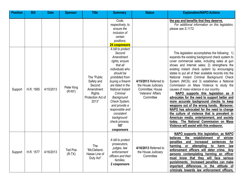| <b>Position</b> | <b>Bill</b> | <b>Date</b> | <b>Sponsor</b>             | <b>Title</b>                                                                                    | <b>Summary</b>                                                                                                                                                                                                                                                                                                                           | <b>Status</b>                                                                                      | <b>Explanation/NAPO Actions</b>                                                                                                                                                                                                                                                                                                                                                                                                                                                                                                                                                                                                                                                                                                                                                                                                                                                                                     |
|-----------------|-------------|-------------|----------------------------|-------------------------------------------------------------------------------------------------|------------------------------------------------------------------------------------------------------------------------------------------------------------------------------------------------------------------------------------------------------------------------------------------------------------------------------------------|----------------------------------------------------------------------------------------------------|---------------------------------------------------------------------------------------------------------------------------------------------------------------------------------------------------------------------------------------------------------------------------------------------------------------------------------------------------------------------------------------------------------------------------------------------------------------------------------------------------------------------------------------------------------------------------------------------------------------------------------------------------------------------------------------------------------------------------------------------------------------------------------------------------------------------------------------------------------------------------------------------------------------------|
|                 |             |             |                            |                                                                                                 | Code,<br>respectively, to<br>ensure the<br>inclusion of<br>certain<br>positions.<br>24 cosponsors                                                                                                                                                                                                                                        |                                                                                                    | the pay and benefits that they deserve.<br>For additional information on this legislation,<br>please see S.1172.                                                                                                                                                                                                                                                                                                                                                                                                                                                                                                                                                                                                                                                                                                                                                                                                    |
| Support         | H.R. 1565   | 4/15/2013   | Peter King<br>$(R-NY)$     | The "Public<br>Safety and<br>Second<br>Amendment<br><b>Rights</b><br>Protection Act of<br>2013" | A bill to protect<br>Second<br>Amendment<br>rights, ensure<br>that all<br>individuals who<br>should be<br>prohibited from<br>buying a firearm<br>are listed in the<br>National Instant<br>Criminal<br>Background<br>Check System,<br>and provide a<br>responsible and<br>consistent<br>background<br>check process.<br>187<br>cosponsors | 4/15/2013 Referred to<br>the House Judiciary<br>Committee; House<br>Veterans' Affairs<br>Committee | This legislation accomplishes the following: 1)<br>expands the existing background check system to<br>cover commercial sales, including sales at gun<br>shows and internet sales; 2) strengthens the<br>existing instant check system by encouraging<br>states to put all of their available records into the<br>National Instant Criminal Background Check<br>System (NICS); and 3) establishes a National<br>Commission on Mass Violence to study the<br>causes of mass violence in our country.<br>NAPO supports this legislation as it<br>advocates for the need to support better and<br>more accurate background checks to keep<br>weapons out of the wrong hands. Moreover,<br>NAPO has advocated for the need to change<br>the culture of violence that is prevalent in<br>American media, entertainment, and society<br>today. The National Commission on Mass<br>Violence will assist with this endeavor. |
| Support         | H.R. 1577   | 4/16/2013   | <b>Ted Poe</b><br>$(R-TX)$ | The<br>"McClelland-<br>Hasse Line of<br>Duty Act"                                               | A bill to protect<br>prosecutors,<br>judges, law<br>enforcement<br>officers and their<br>families.<br>2 cosponsors                                                                                                                                                                                                                       | 4/16/2013 Referred to<br>the House Judiciary<br>Committee                                          | NAPO supports this legislation, as NAPO<br>establishment<br>of stricter<br>the<br>believes<br>penalties<br>for<br>and<br>increased<br>sentences<br>attempting<br>law<br>harming<br>or<br>to<br>harm<br>enforcement officers will deter crime. Any<br>persons contemplating harming an officer<br>must know that they will face serious<br>punishments. Increased penalties can make<br>important differences in<br>the attitude of<br>criminals towards law enforcement officers,                                                                                                                                                                                                                                                                                                                                                                                                                                   |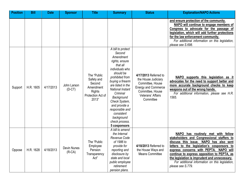| <b>Position</b> | <b>Bill</b> | <b>Date</b> | <b>Sponsor</b>          | <b>Title</b>                                                                                    | <b>Summary</b>                                                                                                                                                                                                                                                                                                                      | <b>Status</b>                                                                                                                                        | <b>Explanation/NAPO Actions</b>                                                                                                                                                                                                                                                                                                                                                                         |
|-----------------|-------------|-------------|-------------------------|-------------------------------------------------------------------------------------------------|-------------------------------------------------------------------------------------------------------------------------------------------------------------------------------------------------------------------------------------------------------------------------------------------------------------------------------------|------------------------------------------------------------------------------------------------------------------------------------------------------|---------------------------------------------------------------------------------------------------------------------------------------------------------------------------------------------------------------------------------------------------------------------------------------------------------------------------------------------------------------------------------------------------------|
|                 |             |             |                         |                                                                                                 |                                                                                                                                                                                                                                                                                                                                     |                                                                                                                                                      | and ensure protection of the community.<br>NAPO will continue to engage members of<br>Congress to advocate for the passage of<br>legislation, which will add further protections<br>for the law enforcement community.<br>For additional information on this legislation,<br>please see S.698.                                                                                                          |
| Support         | H.R. 1605   | 4/17/2013   | John Larson<br>$(D-CT)$ | The "Public<br>Safety and<br>Second<br>Amendment<br><b>Rights</b><br>Protection Act of<br>2013" | A bill to protect<br>Second<br>Amendment<br>rights, ensure<br>that all<br>individuals who<br>should be<br>prohibited from<br>buying a firearm<br>are listed in the<br>National Instant<br>Criminal<br>Background<br>Check System,<br>and provide a<br>responsible and<br>consistent<br>background<br>check process.<br>5 cosponsors | 4/17/2013 Referred to<br>the House Judiciary<br>Committee, House<br><b>Energy and Commerce</b><br>Committee, House<br>Veterans' Affairs<br>Committee | NAPO supports this legislation as it<br>advocates for the need to support better and<br>more accurate background checks to keep<br>weapons out of the wrong hands.<br>For additional information, please see H.R.<br>1565.                                                                                                                                                                              |
| Oppose          | H.R. 1628   | 4/18/2013   | Devin Nunes<br>$(R-CA)$ | The "Public<br>Employee<br>Pension<br>Transparency<br>Act"                                      | A bill to amend<br>the Internal<br>Revenue Code<br>of 1986 to<br>provide for<br>reporting and<br>disclosure by<br>state and local<br>public employee<br>retirement<br>pension plans.                                                                                                                                                | 4/18/2013 Referred to<br>the House Ways and<br><b>Means Committee</b>                                                                                | has routinely met with fellow<br><b>NAPO</b><br>stakeholders and Congressional staffers to<br>discuss this issue. NAPO has also sent<br>letters to the legislation's cosponsors to<br>express concerns with PEPTA.<br>NAPO will<br>continue to express opposition to PEPTA, as<br>the legislation is imprudent and unnecessary.<br>For additional information on this legislation,<br>please see S.779. |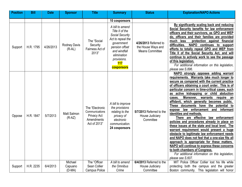| <b>Position</b> | <b>Bill</b> | <b>Date</b> | <b>Sponsor</b>                 | <b>Title</b>                                                                          | <b>Summary</b>                                                                                                                                                                       | <b>Status</b>                                                         | <b>Explanation/NAPO Actions</b>                                                                                                                                                                                                                                                                                                                                                                                                                                                                                                                                                                                                                                                                                                                                                                                                                                                                                                                                                                                       |
|-----------------|-------------|-------------|--------------------------------|---------------------------------------------------------------------------------------|--------------------------------------------------------------------------------------------------------------------------------------------------------------------------------------|-----------------------------------------------------------------------|-----------------------------------------------------------------------------------------------------------------------------------------------------------------------------------------------------------------------------------------------------------------------------------------------------------------------------------------------------------------------------------------------------------------------------------------------------------------------------------------------------------------------------------------------------------------------------------------------------------------------------------------------------------------------------------------------------------------------------------------------------------------------------------------------------------------------------------------------------------------------------------------------------------------------------------------------------------------------------------------------------------------------|
|                 |             |             |                                |                                                                                       | 10 cosponsors                                                                                                                                                                        |                                                                       |                                                                                                                                                                                                                                                                                                                                                                                                                                                                                                                                                                                                                                                                                                                                                                                                                                                                                                                                                                                                                       |
| Support         | H.R. 1795   | 4/26/2013   | Rodney Davis<br>$(R-AL)$       | The "Social<br>Security<br>Fairness Act of<br>2013"                                   | A bill to amend<br>Title II of the<br>Social Security<br>Act to repeal the<br>government<br>pension offset<br>and windfall<br>elimination<br>provisions.<br>117<br><b>cosponsors</b> | 4/26/2013 Referred to<br>the House Ways and<br><b>Means Committee</b> | By significantly scaling back and reducing<br>Social Security benefits for law enforcement<br>officers and their survivors, as GPO and WEP<br>do, officers and their families are provided<br>much<br>less<br>protection against financial<br>difficulties.<br><b>NAPO</b><br>continues to support<br>efforts to totally repeal GPO and WEP from<br>Title II of the Social Security Act, and will<br>continue to actively work to see the passage<br>of this legislation.<br>For additional information on this legislation,<br>please see S.896.                                                                                                                                                                                                                                                                                                                                                                                                                                                                     |
| Oppose          | H.R. 1847   | 5/7/2013    | Matt Salmon<br>$(R-AZ)$        | The "Electronic<br>Communications<br><b>Privacy Act</b><br>Amendments<br>Act of 2013" | A bill to improve<br>the provisions<br>relating to the<br>privacy of<br>electronic<br>communication.<br>24 cosponsors                                                                | 5/7/2013 Referred to the<br>House Judiciary<br>Committee              | NAPO strongly opposes adding warrant<br>requirements. Warrants take much longer to<br>secure as compared with the current practice<br>of officers obtaining a court order. This is of<br>particular concern in time-critical cases, such<br>as active kidnapping or child abduction<br>Moreover, warrants require an<br>cases.<br>affidavit, which generally becomes public.<br>documents<br>the<br>potential to<br>These<br>have<br>enforcement<br><i>informant</i><br>law<br>and<br>expose<br>identities and methods.<br>There are effective law enforcement<br>policies and procedures already in place on<br>these issues at the state and local level. The<br>warrant requirement would present a huge<br>obstacle to legitimate law enforcement needs<br>and NAPO does not feel that a one-size fits all<br>approach is appropriate for these matters.<br>NAPO will continue to express these concerns<br>to both chambers of Congress.<br>For additional information on this legislation,<br>please see S.607. |
| Support         | H.R. 2235   | 6/4/2013    | Michael<br>Capuano<br>$(D-MA)$ | The "Officer<br>Sean Collier<br>Campus Police                                         | A bill to amend<br>the Omnibus<br>Crime                                                                                                                                              | 6/4/2013 Referred to the<br>House Judiciary<br>Committee              | MIT Police Officer Collier lost his life while<br>protecting both the campus and the greater<br>Boston community. This legislation will honor                                                                                                                                                                                                                                                                                                                                                                                                                                                                                                                                                                                                                                                                                                                                                                                                                                                                         |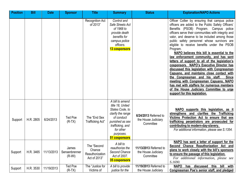| <b>Position</b> | <b>Bill</b> | <b>Date</b> | <b>Sponsor</b>                     | <b>Title</b>                                             | <b>Summary</b>                                                                                                                                                              | <b>Status</b>                                              | <b>Explanation/NAPO Actions</b>                                                                                                                                                                                                                                                                                                                                                                                                                                                                                                                                                                                                                                                                                                                                                                                                                                             |
|-----------------|-------------|-------------|------------------------------------|----------------------------------------------------------|-----------------------------------------------------------------------------------------------------------------------------------------------------------------------------|------------------------------------------------------------|-----------------------------------------------------------------------------------------------------------------------------------------------------------------------------------------------------------------------------------------------------------------------------------------------------------------------------------------------------------------------------------------------------------------------------------------------------------------------------------------------------------------------------------------------------------------------------------------------------------------------------------------------------------------------------------------------------------------------------------------------------------------------------------------------------------------------------------------------------------------------------|
|                 |             |             |                                    | Recognition Act<br>of 2013"                              | Control and<br>Safe Streets Act<br>of 1968 to<br>provide death<br>benefits for<br>campus police<br>officers.<br>13 cosponsors                                               |                                                            | Officer Collier by ensuring that campus police<br>officers are added to the Public Safety Officers'<br>Benefits (PSOB) Program. Campus police<br>officers serve their communities with integrity and<br>valor, and deserve to be included among those<br>public safety personnel whose survivors are<br>eligible to receive benefits under the PSOB<br>Program.<br>NAPO believes this bill is essential to the<br>law enforcement community, and has sent<br>letters of support to all of the legislation's<br>cosponsors. NAPO's Executive Director has<br>discussed this legislation with Congressman<br>Capuano, and maintains close contact with<br>the Congressman and his staff.<br><b>Since</b><br>meeting with Congressman Capuano, NAPO<br>has met with staffers for numerous members<br>of the House Judiciary Committee to urge<br>support for this legislation. |
| Support         | H.R. 2805   | 6/24/2013   | Ted Poe<br>$(R-TX)$                | The "End Sex<br>Trafficking Act"                         | A bill to amend<br>title 18, United<br>States Code, to<br>clarify the range<br>of conduct<br>punished as sex<br>trafficking, and<br>for other<br>purposes.<br>51 cosponsors | 6/24/2013 Referred to<br>the House Judiciary<br>Committee  | NAPO supports this legislation, as it<br>strengthens and clarifies the Trafficking<br>Victims Protection Act to ensure that sex<br>trafficking perpetrators are prosecuted for<br>contributing to modern-day-slavery.<br>For additional information, please see S.1354.                                                                                                                                                                                                                                                                                                                                                                                                                                                                                                                                                                                                     |
| Support         | H.R. 3465   | 11/13/2013  | James<br>Sensenbrenner<br>$(R-WI)$ | The "Second<br>Chance<br>Reauthorization<br>Act of 2013" | A bill to<br>reauthorize the<br>Second Chance<br>Act of 2007.<br>35 cosponsors                                                                                              | 11/13/2013 Referred to<br>the House Judiciary<br>Committee | NAPO has sent a letter of support for the<br>Second Chance Reauthorization Act and<br>plans to work closely with the bill's sponsors<br>to ensure the passage of this legislation.<br>For additional information, please see<br>S.1690.                                                                                                                                                                                                                                                                                                                                                                                                                                                                                                                                                                                                                                     |
| Support         | H.R. 3530   | 11/19/2013  | Ted Poe<br>$(R-TX)$                | The "Justice for<br>Victims of                           | A bill to provide<br>justice for the                                                                                                                                        | 11/19/2013 Referred to<br>the House Judiciary              | <b>NAPO</b><br>discussed<br>this<br><u>bill</u><br>has<br><u>with</u><br>Congressman Poe's senior staff, and pledged                                                                                                                                                                                                                                                                                                                                                                                                                                                                                                                                                                                                                                                                                                                                                        |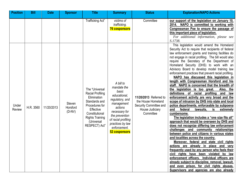| <b>Position</b>        | <b>Bill</b> | <b>Date</b> | <b>Sponsor</b>                 | <b>Title</b>                                                                                                                                                                        | <b>Summary</b>                                                                                                                                                                                               | <b>Status</b>                                                                                          | <b>Explanation/NAPO Actions</b>                                                                                                                                                                                                                                                                                                                                                                                                                                                                                                                                                                                                                                                                                                                                                                                                                                                                                                                                                                                                                                                                                                                                                                                                                                                                                                                                                                                                                                                                                                       |
|------------------------|-------------|-------------|--------------------------------|-------------------------------------------------------------------------------------------------------------------------------------------------------------------------------------|--------------------------------------------------------------------------------------------------------------------------------------------------------------------------------------------------------------|--------------------------------------------------------------------------------------------------------|---------------------------------------------------------------------------------------------------------------------------------------------------------------------------------------------------------------------------------------------------------------------------------------------------------------------------------------------------------------------------------------------------------------------------------------------------------------------------------------------------------------------------------------------------------------------------------------------------------------------------------------------------------------------------------------------------------------------------------------------------------------------------------------------------------------------------------------------------------------------------------------------------------------------------------------------------------------------------------------------------------------------------------------------------------------------------------------------------------------------------------------------------------------------------------------------------------------------------------------------------------------------------------------------------------------------------------------------------------------------------------------------------------------------------------------------------------------------------------------------------------------------------------------|
|                        |             |             |                                | Trafficking Act"                                                                                                                                                                    | victims of<br>trafficking.<br><b>76 cosponsors</b>                                                                                                                                                           | Committee                                                                                              | our support of the legislation on January 10,<br>2014. NAPO is committed to working with<br>Congressman Poe to ensure the passage of<br>this important piece of legislation.<br>For additional information, please see<br>S.1738.                                                                                                                                                                                                                                                                                                                                                                                                                                                                                                                                                                                                                                                                                                                                                                                                                                                                                                                                                                                                                                                                                                                                                                                                                                                                                                     |
| Under<br><b>Review</b> | H.R. 3560   | 11/20/2013  | Steven<br>Horsford<br>$(D-NV)$ | The "Universal<br><b>Racial Profiling</b><br>Elimination<br>Standards and<br>Procedures for<br>Effective<br>Constitutional<br><b>Rights Training</b><br>(Universal<br>RESPECT) Act" | A bill to<br>mandate the<br>basic<br>educational,<br>regulatory, and<br>management<br>actions<br>necessary for<br>the prevention<br>of racial profiling<br>practices by law<br>enforcement.<br>52 cosponsors | 11/20/2013 Referred to<br>the House Homeland<br>Security Committee and<br>House Judiciary<br>Committee | This legislation would amend the Homeland<br>Security Act to require that recipients of federal<br>law enforcement grants and training facilities do<br>not engage in racial profiling. The bill would also<br>require the Secretary of the Department of<br>Homeland Security (DHS) to work with an<br>Advisory Board to develop model training law<br>enforcement practices that prevent racial profiling.<br>NAPO has discussed this legislation in<br>length with Congressman Horsford and his<br>staff. NAPO is concerned that the breadth of<br>the legislation is too great.<br>Also,<br>the<br>definitions of racial profiling<br>and<br>law<br>enforcement activity are very broad and the<br>scope of intrusion by DHS into state and local<br>police departments, enforceable by subpoena<br>federal<br>lawsuits,<br>extremely<br>and<br>is<br>cumbersome.<br>The legislation includes a "one size fits all"<br>approach that would be overseen by DHS and<br>does not recognize differing law enforcement<br>challenges and community relationships<br>between police and citizens in various states<br>and localities across the country.<br>Moreover, federal and state civil rights<br>actions are already in place and very<br>frequently used by any person who feels their<br>civil rights have been violated by law<br>enforcement officers. Individual officers are<br>already subject to discipline, removal, lawsuit,<br>and even prison, for civil rights abuses.<br>Supervisors and agencies are also already |